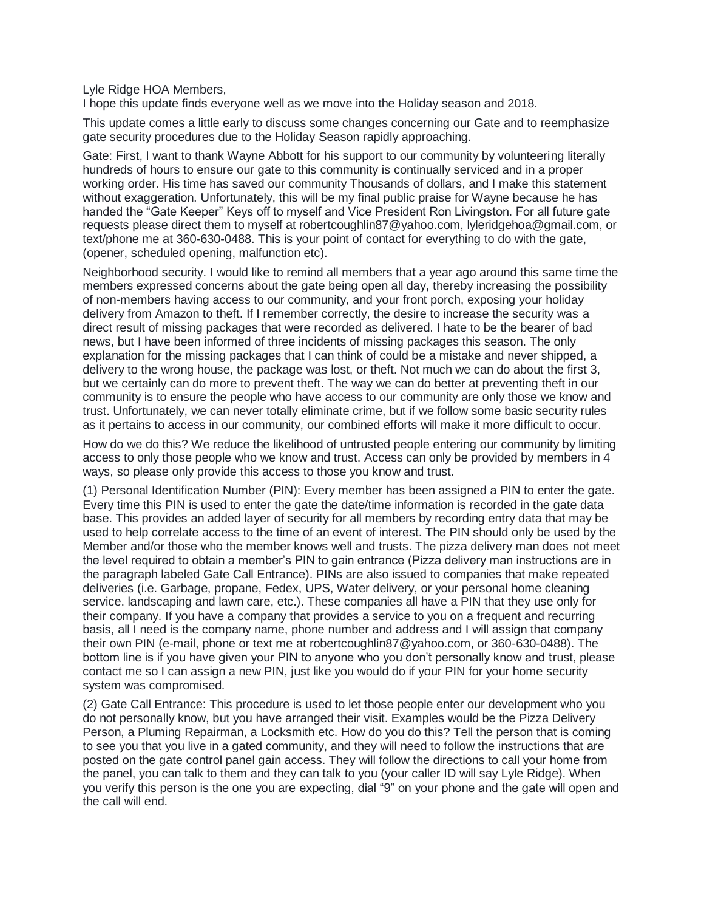Lyle Ridge HOA Members,

I hope this update finds everyone well as we move into the Holiday season and 2018.

This update comes a little early to discuss some changes concerning our Gate and to reemphasize gate security procedures due to the Holiday Season rapidly approaching.

Gate: First, I want to thank Wayne Abbott for his support to our community by volunteering literally hundreds of hours to ensure our gate to this community is continually serviced and in a proper working order. His time has saved our community Thousands of dollars, and I make this statement without exaggeration. Unfortunately, this will be my final public praise for Wayne because he has handed the "Gate Keeper" Keys off to myself and Vice President Ron Livingston. For all future gate requests please direct them to myself at robertcoughlin87@yahoo.com, lyleridgehoa@gmail.com, or text/phone me at 360-630-0488. This is your point of contact for everything to do with the gate, (opener, scheduled opening, malfunction etc).

Neighborhood security. I would like to remind all members that a year ago around this same time the members expressed concerns about the gate being open all day, thereby increasing the possibility of non-members having access to our community, and your front porch, exposing your holiday delivery from Amazon to theft. If I remember correctly, the desire to increase the security was a direct result of missing packages that were recorded as delivered. I hate to be the bearer of bad news, but I have been informed of three incidents of missing packages this season. The only explanation for the missing packages that I can think of could be a mistake and never shipped, a delivery to the wrong house, the package was lost, or theft. Not much we can do about the first 3, but we certainly can do more to prevent theft. The way we can do better at preventing theft in our community is to ensure the people who have access to our community are only those we know and trust. Unfortunately, we can never totally eliminate crime, but if we follow some basic security rules as it pertains to access in our community, our combined efforts will make it more difficult to occur.

How do we do this? We reduce the likelihood of untrusted people entering our community by limiting access to only those people who we know and trust. Access can only be provided by members in 4 ways, so please only provide this access to those you know and trust.

(1) Personal Identification Number (PIN): Every member has been assigned a PIN to enter the gate. Every time this PIN is used to enter the gate the date/time information is recorded in the gate data base. This provides an added layer of security for all members by recording entry data that may be used to help correlate access to the time of an event of interest. The PIN should only be used by the Member and/or those who the member knows well and trusts. The pizza delivery man does not meet the level required to obtain a member's PIN to gain entrance (Pizza delivery man instructions are in the paragraph labeled Gate Call Entrance). PINs are also issued to companies that make repeated deliveries (i.e. Garbage, propane, Fedex, UPS, Water delivery, or your personal home cleaning service. landscaping and lawn care, etc.). These companies all have a PIN that they use only for their company. If you have a company that provides a service to you on a frequent and recurring basis, all I need is the company name, phone number and address and I will assign that company their own PIN (e-mail, phone or text me at robertcoughlin87@yahoo.com, or 360-630-0488). The bottom line is if you have given your PIN to anyone who you don't personally know and trust, please contact me so I can assign a new PIN, just like you would do if your PIN for your home security system was compromised.

(2) Gate Call Entrance: This procedure is used to let those people enter our development who you do not personally know, but you have arranged their visit. Examples would be the Pizza Delivery Person, a Pluming Repairman, a Locksmith etc. How do you do this? Tell the person that is coming to see you that you live in a gated community, and they will need to follow the instructions that are posted on the gate control panel gain access. They will follow the directions to call your home from the panel, you can talk to them and they can talk to you (your caller ID will say Lyle Ridge). When you verify this person is the one you are expecting, dial "9" on your phone and the gate will open and the call will end.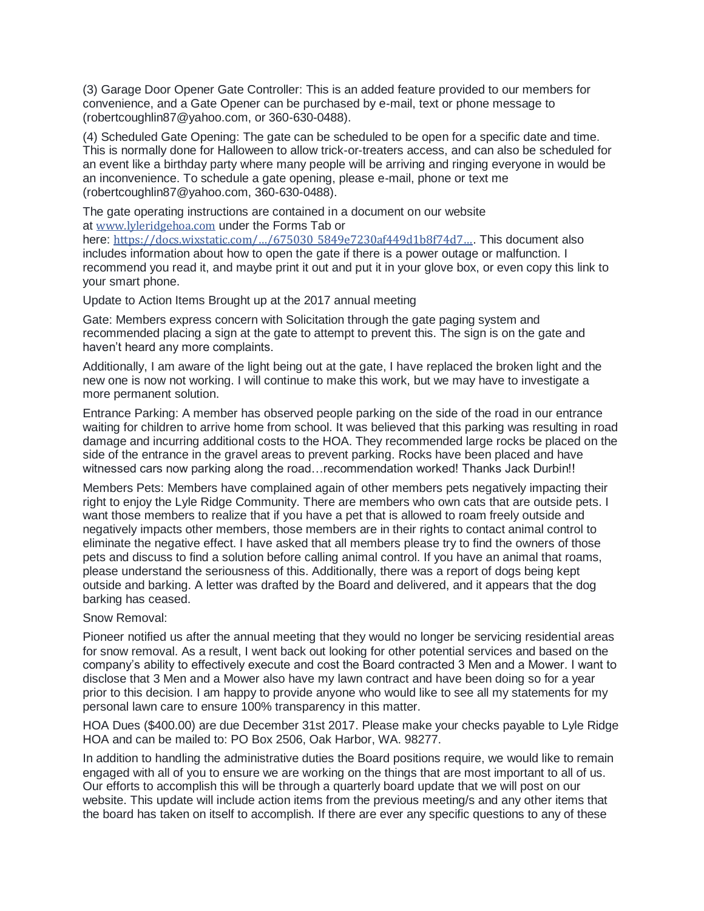(3) Garage Door Opener Gate Controller: This is an added feature provided to our members for convenience, and a Gate Opener can be purchased by e-mail, text or phone message to (robertcoughlin87@yahoo.com, or 360-630-0488).

(4) Scheduled Gate Opening: The gate can be scheduled to be open for a specific date and time. This is normally done for Halloween to allow trick-or-treaters access, and can also be scheduled for an event like a birthday party where many people will be arriving and ringing everyone in would be an inconvenience. To schedule a gate opening, please e-mail, phone or text me (robertcoughlin87@yahoo.com, 360-630-0488).

The gate operating instructions are contained in a document on our website at [www.lyleridgehoa.com](https://l.facebook.com/l.php?u=http%3A%2F%2Fwww.lyleridgehoa.com%2F&h=ATNeEcZSTJWNUG72mZfH_jQfBh9q6kfivk7qQ-CJl4A2qoERr4jyly_H0ag-TAAcbastgWkEd1nYb9piNC-AT7GDEndDIMQKpOJOEc6IP509yqIcePGQDDercbD_98qrpRtwqPuu9zRu-29txcBet2RCSeTHSnbl54gb_aJtyte4XWnRoD-Nw1pB5WbpweS-yeA95q2mZfIMnKUNmmdHBzycsSgZCaDyMvzDybuBBwV7P_0okiW2G_YjevWntTT-jjkPYANQRh2Es-R8lSe55Hb_vLyfmV2e) under the Forms Tab or

here: https://docs.wixstatic.com/.../675030\_5849e7230af449d1b8f74d7.... This document also includes information about how to open the gate if there is a power outage or malfunction. I recommend you read it, and maybe print it out and put it in your glove box, or even copy this link to your smart phone.

Update to Action Items Brought up at the 2017 annual meeting

Gate: Members express concern with Solicitation through the gate paging system and recommended placing a sign at the gate to attempt to prevent this. The sign is on the gate and haven't heard any more complaints.

Additionally, I am aware of the light being out at the gate, I have replaced the broken light and the new one is now not working. I will continue to make this work, but we may have to investigate a more permanent solution.

Entrance Parking: A member has observed people parking on the side of the road in our entrance waiting for children to arrive home from school. It was believed that this parking was resulting in road damage and incurring additional costs to the HOA. They recommended large rocks be placed on the side of the entrance in the gravel areas to prevent parking. Rocks have been placed and have witnessed cars now parking along the road…recommendation worked! Thanks Jack Durbin!!

Members Pets: Members have complained again of other members pets negatively impacting their right to enjoy the Lyle Ridge Community. There are members who own cats that are outside pets. I want those members to realize that if you have a pet that is allowed to roam freely outside and negatively impacts other members, those members are in their rights to contact animal control to eliminate the negative effect. I have asked that all members please try to find the owners of those pets and discuss to find a solution before calling animal control. If you have an animal that roams, please understand the seriousness of this. Additionally, there was a report of dogs being kept outside and barking. A letter was drafted by the Board and delivered, and it appears that the dog barking has ceased.

## Snow Removal:

Pioneer notified us after the annual meeting that they would no longer be servicing residential areas for snow removal. As a result, I went back out looking for other potential services and based on the company's ability to effectively execute and cost the Board contracted 3 Men and a Mower. I want to disclose that 3 Men and a Mower also have my lawn contract and have been doing so for a year prior to this decision. I am happy to provide anyone who would like to see all my statements for my personal lawn care to ensure 100% transparency in this matter.

HOA Dues (\$400.00) are due December 31st 2017. Please make your checks payable to Lyle Ridge HOA and can be mailed to: PO Box 2506, Oak Harbor, WA. 98277.

In addition to handling the administrative duties the Board positions require, we would like to remain engaged with all of you to ensure we are working on the things that are most important to all of us. Our efforts to accomplish this will be through a quarterly board update that we will post on our website. This update will include action items from the previous meeting/s and any other items that the board has taken on itself to accomplish. If there are ever any specific questions to any of these